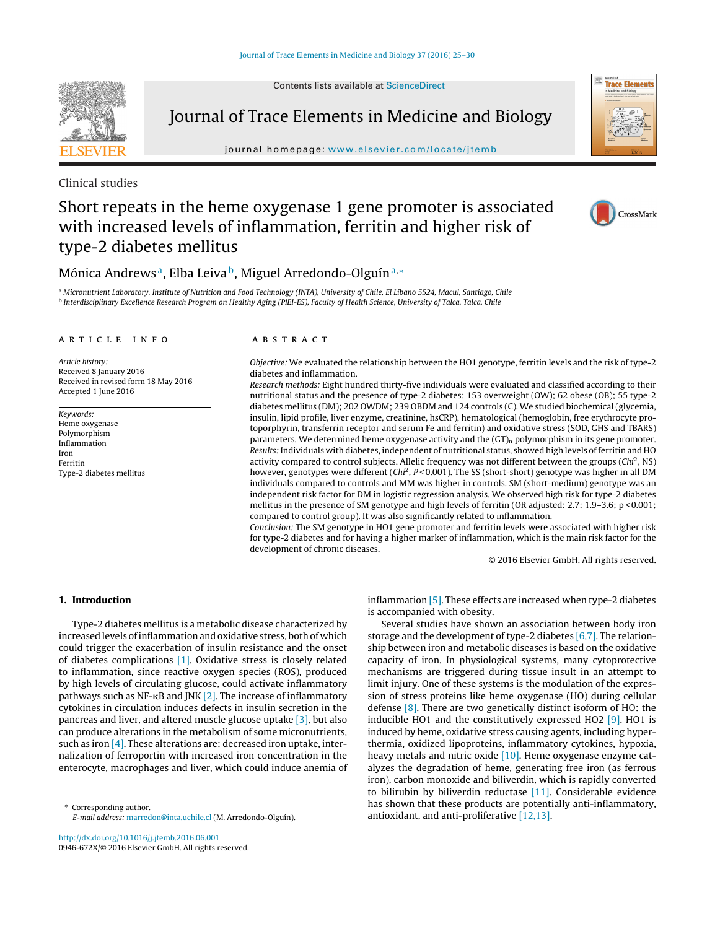Contents lists available at [ScienceDirect](http://www.sciencedirect.com/science/journal/0946672X)



Journal of Trace Elements in Medicine and Biology

iournal homepage: www.elsevier.com/locate/itemb



Clinical studies

# Short repeats in the heme oxygenase 1 gene promoter is associated with increased levels of inflammation, ferritin and higher risk of type-2 diabetes mellitus



# Mónica Andrews<sup>a</sup>, Elba Leiva<sup>b</sup>, Miguel Arredondo-Olguín<sup>a,∗</sup>

<sup>a</sup> Micronutrient Laboratory, Institute of Nutrition and Food Technology (INTA), University of Chile, El Líbano 5524, Macul, Santiago, Chile <sup>b</sup> Interdisciplinary Excellence Research Program on Healthy Aging (PIEI-ES), Faculty of Health Science, University of Talca, Talca, Chile

### a r t i c l e i n f o

Article history: Received 8 January 2016 Received in revised form 18 May 2016 Accepted 1 June 2016

Keywords: Heme oxygenase Polymorphism Inflammation Iron Ferritin Type-2 diabetes mellitus

### A B S T R A C T

Objective: We evaluated the relationship between the HO1 genotype, ferritin levels and the risk of type-2 diabetes and inflammation.

Research methods: Eight hundred thirty-five individuals were evaluated and classified according to their nutritional status and the presence of type-2 diabetes: 153 overweight (OW); 62 obese (OB); 55 type-2 diabetes mellitus (DM); 202 OWDM; 239 OBDM and 124 controls (C). We studied biochemical (glycemia, insulin, lipid profile, liver enzyme, creatinine, hsCRP), hematological (hemoglobin, free erythrocyte protoporphyrin, transferrin receptor and serum Fe and ferritin) and oxidative stress (SOD, GHS and TBARS) parameters. We determined heme oxygenase activity and the  $(GT)<sub>n</sub>$  polymorphism in its gene promoter. Results: Individuals with diabetes, independent of nutritional status, showed high levels of ferritin and HO activity compared to control subjects. Allelic frequency was not different between the groups  $(Chi<sup>2</sup>, NS)$ however, genotypes were different (Chi<sup>2</sup>, P < 0.001). The SS (short-short) genotype was higher in all DM individuals compared to controls and MM was higher in controls. SM (short-medium) genotype was an independent risk factor for DM in logistic regression analysis. We observed high risk for type-2 diabetes mellitus in the presence of SM genotype and high levels of ferritin (OR adjusted: 2.7; 1.9–3.6; p < 0.001; compared to control group). It was also significantly related to inflammation.

Conclusion: The SM genotype in HO1 gene promoter and ferritin levels were associated with higher risk for type-2 diabetes and for having a higher marker of inflammation, which is the main risk factor for the development of chronic diseases.

© 2016 Elsevier GmbH. All rights reserved.

### **1. Introduction**

Type-2 diabetes mellitus is a metabolic disease characterized by increased levels ofinflammation and oxidative stress, both of which could trigger the exacerbation of insulin resistance and the onset of diabetes complications [\[1\].](#page-4-0) Oxidative stress is closely related to inflammation, since reactive oxygen species (ROS), produced by high levels of circulating glucose, could activate inflammatory pathways such as NF-ĸB and JNK [\[2\].](#page-4-0) The increase of inflammatory cytokines in circulation induces defects in insulin secretion in the pancreas and liver, and altered muscle glucose uptake [\[3\],](#page-4-0) but also can produce alterations in the metabolism of some micronutrients, such as iron  $[4]$ . These alterations are: decreased iron uptake, internalization of ferroportin with increased iron concentration in the enterocyte, macrophages and liver, which could induce anemia of

∗ Corresponding author. E-mail address: [marredon@inta.uchile.cl](mailto:marredon@inta.uchile.cl) (M. Arredondo-Olguín).

[http://dx.doi.org/10.1016/j.jtemb.2016.06.001](dx.doi.org/10.1016/j.jtemb.2016.06.001) 0946-672X/© 2016 Elsevier GmbH. All rights reserved. inflammation [\[5\].](#page-5-0) These effects are increased when type-2 diabetes is accompanied with obesity.

Several studies have shown an association between body iron storage and the development of type-2 diabetes [\[6,7\].](#page-5-0) The relationship between iron and metabolic diseases is based on the oxidative capacity of iron. In physiological systems, many cytoprotective mechanisms are triggered during tissue insult in an attempt to limit injury. One of these systems is the modulation of the expression of stress proteins like heme oxygenase (HO) during cellular defense [\[8\].](#page-5-0) There are two genetically distinct isoform of HO: the inducible HO1 and the constitutively expressed HO2 [\[9\].](#page-5-0) HO1 is induced by heme, oxidative stress causing agents, including hyperthermia, oxidized lipoproteins, inflammatory cytokines, hypoxia, heavy metals and nitric oxide [\[10\].](#page-5-0) Heme oxygenase enzyme catalyzes the degradation of heme, generating free iron (as ferrous iron), carbon monoxide and biliverdin, which is rapidly converted to bilirubin by biliverdin reductase [\[11\].](#page-5-0) Considerable evidence has shown that these products are potentially anti-inflammatory, antioxidant, and anti-proliferative [\[12,13\].](#page-5-0)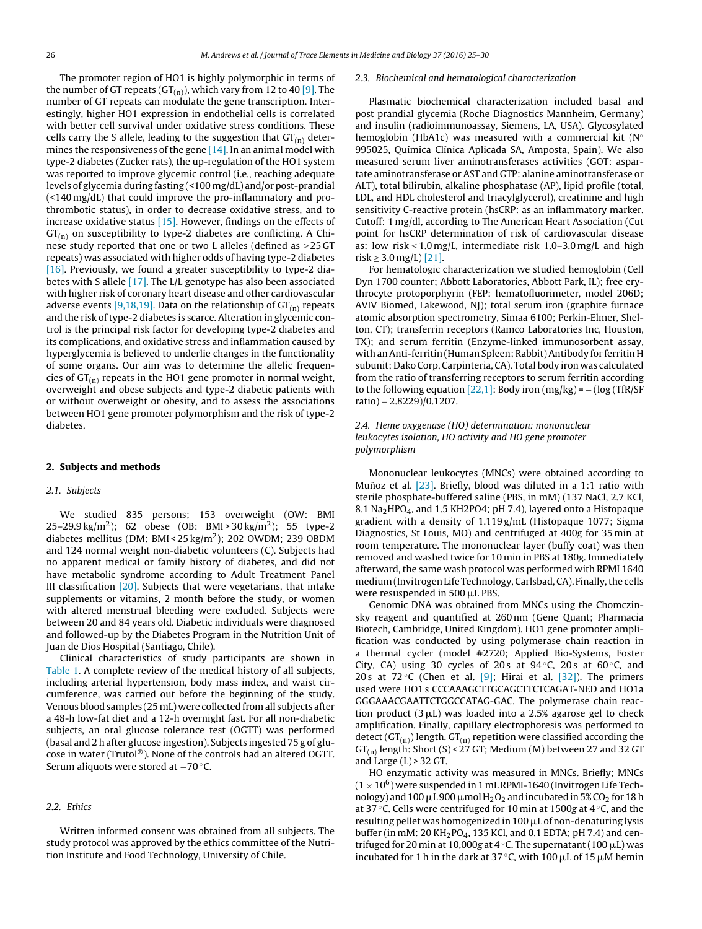The promoter region of HO1 is highly polymorphic in terms of the number of GT repeats ( $GT_{(n)}$ ), which vary from 12 to 40 [\[9\].](#page-5-0) The number of GT repeats can modulate the gene transcription. Interestingly, higher HO1 expression in endothelial cells is correlated with better cell survival under oxidative stress conditions. These cells carry the S allele, leading to the suggestion that  $GT_{(n)}$  determines the responsiveness of the gene  $[14]$ . In an animal model with type-2 diabetes (Zucker rats), the up-regulation of the HO1 system was reported to improve glycemic control (i.e., reaching adequate levels of glycemia during fasting (<100 mg/dL) and/or post-prandial (<140 mg/dL) that could improve the pro-inflammatory and prothrombotic status), in order to decrease oxidative stress, and to increase oxidative status [\[15\].](#page-5-0) However, findings on the effects of  $GT<sub>(n)</sub>$  on susceptibility to type-2 diabetes are conflicting. A Chinese study reported that one or two L alleles (defined as ≥25 GT repeats) was associated with higher odds of having type-2 diabetes [\[16\].](#page-5-0) Previously, we found a greater susceptibility to type-2 diabetes with S allele [\[17\].](#page-5-0) The L/L genotype has also been associated with higher risk of coronary heart disease and other cardiovascular adverse events [\[9,18,19\].](#page-5-0) Data on the relationship of  $GT_{(n)}$  repeats and the risk of type-2 diabetes is scarce. Alteration in glycemic control is the principal risk factor for developing type-2 diabetes and its complications, and oxidative stress and inflammation caused by hyperglycemia is believed to underlie changes in the functionality of some organs. Our aim was to determine the allelic frequencies of  $GT_{(n)}$  repeats in the HO1 gene promoter in normal weight, overweight and obese subjects and type-2 diabetic patients with or without overweight or obesity, and to assess the associations between HO1 gene promoter polymorphism and the risk of type-2 diabetes.

### **2. Subjects and methods**

### 2.1. Subjects

We studied 835 persons; 153 overweight (OW: BMI 25–29.9 kg/m<sup>2</sup>); 62 obese (OB: BMI > 30 kg/m<sup>2</sup>); 55 type-2 diabetes mellitus (DM: BMI <  $25 \text{ kg/m}^2$ ); 202 OWDM; 239 OBDM and 124 normal weight non-diabetic volunteers (C). Subjects had no apparent medical or family history of diabetes, and did not have metabolic syndrome according to Adult Treatment Panel III classification [\[20\].](#page-5-0) Subjects that were vegetarians, that intake supplements or vitamins, 2 month before the study, or women with altered menstrual bleeding were excluded. Subjects were between 20 and 84 years old. Diabetic individuals were diagnosed and followed-up by the Diabetes Program in the Nutrition Unit of Juan de Dios Hospital (Santiago, Chile).

Clinical characteristics of study participants are shown in [Table](#page-2-0) 1. A complete review of the medical history of all subjects, including arterial hypertension, body mass index, and waist circumference, was carried out before the beginning of the study. Venous blood samples (25 mL) were collected fromall subjects after a 48-h low-fat diet and a 12-h overnight fast. For all non-diabetic subjects, an oral glucose tolerance test (OGTT) was performed (basal and 2 h after glucose ingestion). Subjects ingested 75 g of glucose in water (Trutol®). None of the controls had an altered OGTT. Serum aliquots were stored at −70 ◦C.

### 2.2. Ethics

Written informed consent was obtained from all subjects. The study protocol was approved by the ethics committee of the Nutrition Institute and Food Technology, University of Chile.

#### 2.3. Biochemical and hematological characterization

Plasmatic biochemical characterization included basal and post prandial glycemia (Roche Diagnostics Mannheim, Germany) and insulin (radioimmunoassay, Siemens, LA, USA). Glycosylated hemoglobin (HbA1c) was measured with a commercial kit ( $N^{\circ}$ 995025, Química Clínica Aplicada SA, Amposta, Spain). We also measured serum liver aminotransferases activities (GOT: aspartate aminotransferase or AST and GTP: alanine aminotransferase or ALT), total bilirubin, alkaline phosphatase (AP), lipid profile (total, LDL, and HDL cholesterol and triacylglycerol), creatinine and high sensitivity C-reactive protein (hsCRP: as an inflammatory marker. Cutoff: 1 mg/dl, according to The American Heart Association (Cut point for hsCRP determination of risk of cardiovascular disease as: low risk  $\leq 1.0$  mg/L, intermediate risk 1.0–3.0 mg/L and high  $risk$  ≥ 3.0 mg/L) [\[21\].](#page-5-0)

For hematologic characterization we studied hemoglobin (Cell Dyn 1700 counter; Abbott Laboratories, Abbott Park, IL); free erythrocyte protoporphyrin (FEP: hematofluorimeter, model 206D; AVIV Biomed, Lakewood, NJ); total serum iron (graphite furnace atomic absorption spectrometry, Simaa 6100; Perkin-Elmer, Shelton, CT); transferrin receptors (Ramco Laboratories Inc, Houston, TX); and serum ferritin (Enzyme-linked immunosorbent assay, with anAnti-ferritin (Human Spleen; Rabbit)Antibody for ferritin H subunit; Dako Corp, Carpinteria, CA). Total body iron was calculated from the ratio of transferring receptors to serum ferritin according to the following equation  $[22,1]$ : Body iron (mg/kg) =  $-(\log(TfR/SF))$ ratio) − 2.8229)/0.1207.

### 2.4. Heme oxygenase (HO) determination: mononuclear leukocytes isolation, HO activity and HO gene promoter polymorphism

Mononuclear leukocytes (MNCs) were obtained according to Muñoz et al.  $[23]$ . Briefly, blood was diluted in a 1:1 ratio with sterile phosphate-buffered saline (PBS, in mM) (137 NaCl, 2.7 KCl, 8.1 Na<sub>2</sub>HPO<sub>4</sub>, and 1.5 KH2PO4; pH 7.4), layered onto a Histopaque gradient with a density of 1.119 g/mL (Histopaque 1077; Sigma Diagnostics, St Louis, MO) and centrifuged at 400g for 35 min at room temperature. The mononuclear layer (buffy coat) was then removed and washed twice for 10 min in PBS at 180g. Immediately afterward, the same wash protocol was performed with RPMI 1640 medium (Invitrogen Life Technology, Carlsbad, CA). Finally, the cells were resuspended in 500  $\mu$ L PBS.

Genomic DNA was obtained from MNCs using the Chomczinsky reagent and quantified at 260 nm (Gene Quant; Pharmacia Biotech, Cambridge, United Kingdom). HO1 gene promoter amplification was conducted by using polymerase chain reaction in a thermal cycler (model #2720; Applied Bio-Systems, Foster City, CA) using 30 cycles of 20s at 94 °C, 20s at 60 °C, and 20 s at  $72^{\circ}$ C (Chen et al. [\[9\];](#page-5-0) Hirai et al. [\[32\]\).](#page-5-0) The primers used were HO1 s CCCAAAGCTTGCAGCTTCTCAGAT-NED and HO1a GGGAAACGAATTCTGGCCATAG-GAC. The polymerase chain reaction product  $(3 \mu L)$  was loaded into a 2.5% agarose gel to check amplification. Finally, capillary electrophoresis was performed to detect ( $GT_{(n)}$ ) length.  $GT_{(n)}$  repetition were classified according the  $GT_{(n)}$  length: Short (S) < 27 GT; Medium (M) between 27 and 32 GT and Large  $(L)$  > 32 GT.

HO enzymatic activity was measured in MNCs. Briefly; MNCs  $(1 \times 10^6)$  were suspended in 1 mL RPMI-1640 (Invitrogen Life Technology) and 100  $\mu$ L 900  $\mu$  mol H<sub>2</sub>O<sub>2</sub> and incubated in 5% CO<sub>2</sub> for 18 h at 37 ◦C. Cells were centrifuged for 10 min at 1500g at 4 ◦C, and the resulting pellet was homogenized in 100  $\mu$ L of non-denaturing lysis buffer (in mM: 20 KH<sub>2</sub>PO<sub>4</sub>, 135 KCl, and 0.1 EDTA; pH 7.4) and centrifuged for 20 min at 10,000g at 4 °C. The supernatant (100  $\mu$ L) was incubated for 1 h in the dark at 37 °C, with 100  $\mu$ L of 15  $\mu$ M hemin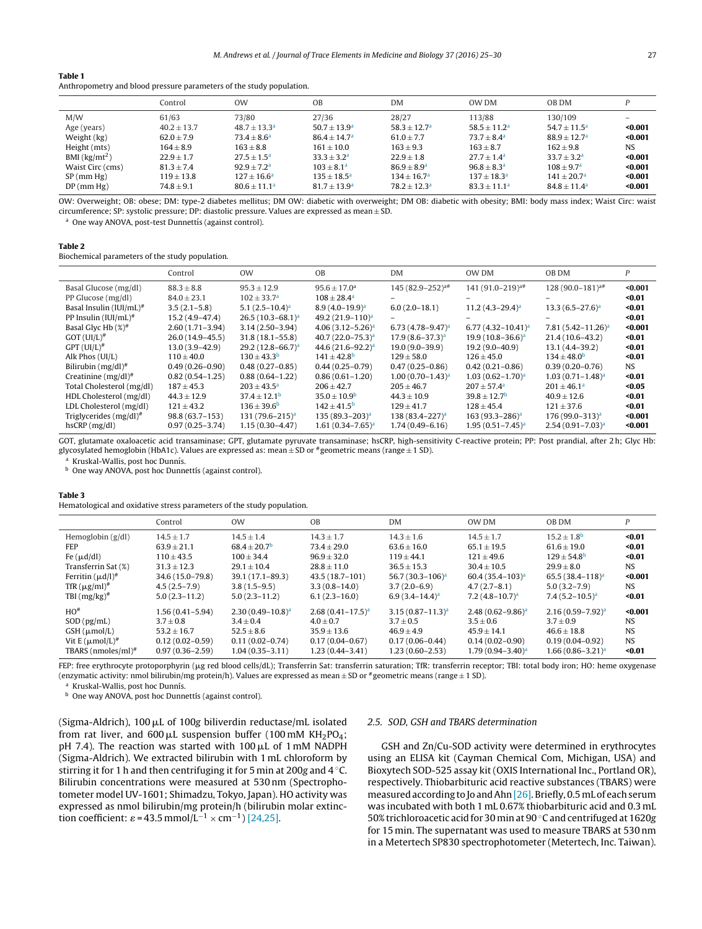### <span id="page-2-0"></span>**Table 1**

| Anthropometry and blood pressure parameters of the study population. |  |  |
|----------------------------------------------------------------------|--|--|
|----------------------------------------------------------------------|--|--|

|                  | Control        | <b>OW</b>              | <b>OB</b>            | <b>DM</b>      | OW DM                | <b>OB DM</b>          |           |
|------------------|----------------|------------------------|----------------------|----------------|----------------------|-----------------------|-----------|
| M/W              | 61/63          | 73/80                  | 27/36                | 28/27          | 113/88               | 130/109               |           |
| Age (years)      | $40.2 + 13.7$  | $48.7 + 13.3a$         | $50.7 + 13.9a$       | $58.3 + 12.7a$ | $58.5 + 11.2a$       | $54.7 + 11.5^{\circ}$ | $0.001$   |
| Weight (kg)      | $62.0 + 7.9$   | $73.4 + 8.6^a$         | $86.4 + 14.7a$       | $61.0 + 7.7$   | $73.7 + 8.4^{\circ}$ | $88.9 + 12.7a$        | $0.001$   |
| Height (mts)     | $164 \pm 8.9$  | $163 \pm 8.8$          | $161 \pm 10.0$       | $163 + 9.3$    | $163 + 8.7$          | $162 + 9.8$           | <b>NS</b> |
| BMI $(kg/mL^2)$  | $22.9 + 1.7$   | $27.5 + 1.5^a$         | $33.3 + 3.2a$        | $22.9 + 1.8$   | $27.7 + 1.4a$        | $33.7 + 3.2a$         | $0.001$   |
| Waist Circ (cms) | $81.3 \pm 7.4$ | $92.9 + 7.2a$          | $103 + 8.1a$         | $86.9 + 8.9a$  | $96.8 + 8.3a$        | $108 + 9.7a$          | $0.001$   |
| SP(mm Hg)        | $119 \pm 13.8$ | $127 \pm 16.6^{\rm a}$ | $135 + 18.5^{\circ}$ | $134 + 16.7a$  | $137 + 18.3a$        | $141 + 20.7a$         | $0.001$   |
| DP(mm Hg)        | $74.8 \pm 9.1$ | $80.6 \pm 11.1^a$      | $81.7 + 13.9a$       | $78.2 + 12.3a$ | $83.3 \pm 11.1^a$    | $84.8 + 11.4^{\circ}$ | $0.001$   |

OW: Overweight; OB: obese; DM: type-2 diabetes mellitus; DM OW: diabetic with overweight; DM OB: diabetic with obesity; BMI: body mass index; Waist Circ: waist circumference; SP: systolic pressure; DP: diastolic pressure. Values are expressed as mean  $\pm$  SD.

One way ANOVA, post-test Dunnettis (against control).

### **Table 2**

Biochemical parameters of the study population.

|                              | Control             | <b>OW</b>               | 0 <sub>B</sub>               | DM                      | OW DM                        | OB DM                       | P       |
|------------------------------|---------------------|-------------------------|------------------------------|-------------------------|------------------------------|-----------------------------|---------|
| Basal Glucose (mg/dl)        | $88.3 \pm 8.8$      | $95.3 \pm 12.9$         | $95.6 \pm 17.0^{\rm a}$      | $145 (82.9 - 252)^{a#}$ | 141 (91.0-219) <sup>a#</sup> | $128(90.0-181)^{a#}$        | $0.001$ |
| PP Glucose (mg/dl)           | $84.0 \pm 23.1$     | $102 \pm 33.7^{\rm a}$  | $108 \pm 28.4^{\rm a}$       |                         |                              |                             | $0.01$  |
| Basal Insulin $(IUI/mL)^#$   | $3.5(2.1-5.8)$      | 5.1 $(2.5-10.4)^{a}$    | $8.9(4.0-19.9)^a$            | $6.0(2.0-18.1)$         | 11.2 $(4.3-29.4)^{a}$        | $13.3(6.5-27.6)^a$          | $0.01$  |
| PP Insulin $(IUI/mL)^#$      | $15.2(4.9-47.4)$    | $26.5(10.3-68.1)^a$     | 49.2 (21.9-110) <sup>a</sup> |                         |                              |                             | $0.01$  |
| Basal Glyc Hb $(\%)^{\#}$    | $2.60(1.71-3.94)$   | $3.14(2.50-3.94)$       | $4.06(3.12-5.26)^a$          | 6.73 $(4.78 - 9.47)^a$  | 6.77 $(4.32 - 10.41)^a$      | $7.81(5.42 - 11.26)^a$      | $0.001$ |
| $GOT$ (UI/L) <sup>#</sup>    | $26.0(14.9 - 45.5)$ | $31.8(18.1 - 55.8)$     | 40.7 $(22.0 - 75.3)^a$       | $17.9(8.6 - 37.3)^a$    | $19.9(10.8-36.6)^a$          | $21.4(10.6-43.2)$           | $0.01$  |
| GPT (UI/L) <sup>#</sup>      | $13.0(3.9 - 42.9)$  | $29.2(12.8-66.7)^a$     | 44.6 $(21.6 - 92.2)^a$       | $19.0(9.0 - 39.9)$      | $19.2(9.0-40.9)$             | $13.1(4.4 - 39.2)$          | $0.01$  |
| Alk Phos (UI/L)              | $110 \pm 40.0$      | $130 \pm 43.3^{\rm b}$  | $141 \pm 42.8$ <sup>b</sup>  | $129 \pm 58.0$          | $126 \pm 45.0$               | $134 \pm 48.0^{\rm b}$      | $0.01$  |
| Bilirubin $(mg/dl)^*$        | $0.49(0.26 - 0.90)$ | $0.48(0.27 - 0.85)$     | $0.44(0.25 - 0.79)$          | $0.47(0.25 - 0.86)$     | $0.42(0.21 - 0.86)$          | $0.39(0.20 - 0.76)$         | NS.     |
| Creatinine $(mg/dl)^*$       | $0.82(0.54 - 1.25)$ | $0.88(0.64 - 1.22)$     | $0.86(0.61 - 1.20)$          | $1.00(0.70-1.43)^a$     | $1.03(0.62 - 1.70)^a$        | $1.03(0.71 - 1.48)^a$       | $0.01$  |
| Total Cholesterol (mg/dl)    | $187 \pm 45.3$      | $203 \pm 43.5^{\circ}$  | $206 \pm 42.7$               | $205 \pm 46.7$          | $207 \pm 57.4^{\circ}$       | $201 \pm 46.1^a$            | $0.05$  |
| HDL Cholesterol (mg/dl)      | $44.3 \pm 12.9$     | $37.4 \pm 12.1^{\rm b}$ | $35.0 \pm 10.9^{\rm b}$      | $44.3 \pm 10.9$         | $39.8 \pm 12.7^{\rm b}$      | $40.9 \pm 12.6$             | $0.01$  |
| LDL Cholesterol (mg/dl)      | $121 \pm 43.2$      | $136 \pm 39.6^{\rm b}$  | $142 \pm 41.5^{\rm b}$       | $129 \pm 41.7$          | $128 \pm 45.4$               | $121 \pm 37.6$              | $0.01$  |
| Triglycerides $(mg/dl)^{\#}$ | $98.8(63.7-153)$    | $131 (79.6 - 215)^a$    | $135 (89.3 - 203)^{a}$       | $138 (83.4 - 227)^a$    | $163(93.3 - 286)^a$          | 176 (99.0-313) <sup>a</sup> | $0.001$ |
| hscRP(mg/dl)                 | $0.97(0.25 - 3.74)$ | $1.15(0.30-4.47)$       | $1.61(0.34 - 7.65)^a$        | $1.74(0.49 - 6.16)$     | $1.95(0.51 - 7.45)^a$        | $2.54(0.91 - 7.03)^{a}$     | $0.001$ |
|                              |                     |                         |                              |                         |                              |                             |         |

GOT, glutamate oxaloacetic acid transaminase; GPT, glutamate pyruvate transaminase; hsCRP, high-sensitivity C-reactive protein; PP: Post prandial, after 2 h; Glyc Hb: glycosylated hemoglobin (HbA1c). Values are expressed as: mean <sup>±</sup> SD or #geometric means (range <sup>±</sup> <sup>1</sup> SD).

<sup>a</sup> Kruskal-Wallis, post hoc Dunnís.

 $<sup>b</sup>$  One way ANOVA, post hoc Dunnettis (against control).</sup>

#### **Table 3**

Hematological and oxidative stress parameters of the study population.

|                                 | Control             | <b>OW</b>                    | <b>OB</b>               | <b>DM</b>               | OW DM                    | OB DM                     | P         |
|---------------------------------|---------------------|------------------------------|-------------------------|-------------------------|--------------------------|---------------------------|-----------|
| Hemoglobin $(g/dl)$             | $14.5 + 1.7$        | $14.5 + 1.4$                 | $14.3 + 1.7$            | $14.3 + 1.6$            | $14.5 + 1.7$             | $15.2 + 1.8$ <sup>b</sup> | $0.01$    |
| <b>FEP</b>                      | $63.9 \pm 21.1$     | $68.4 \pm 20.7$ <sup>b</sup> | $73.4 \pm 29.0$         | $63.6 \pm 16.0$         | $65.1 \pm 19.5$          | $61.6 \pm 19.0$           | $0.01$    |
| Fe $(\mu d/dl)$                 | $110 \pm 43.5$      | $100 + 34.4$                 | $96.9 \pm 32.0$         | $119 + 44.1$            | $121 + 49.6$             | $129 + 54.8^{\rm b}$      | $0.01$    |
| Transferrin Sat (%)             | $31.3 \pm 12.3$     | $29.1 \pm 10.4$              | $28.8 \pm 11.0$         | $36.5 \pm 15.3$         | $30.4 \pm 10.5$          | $29.9 \pm 8.0$            | <b>NS</b> |
| Ferritin $(\mu d/l)^*$          | 34.6 (15.0-79.8)    | $39.1(17.1 - 89.3)$          | 43.5 (18.7-101)         | 56.7 $(30.3 - 106)^{a}$ | $60.4(35.4-103)^{a}$     | 65.5 $(38.4 - 118)^{a}$   | < 0.001   |
| TfR $(\mu g/ml)^*$              | $4.5(2.5-7.9)$      | $3.8(1.5-9.5)$               | $3.3(0.8 - 14.0)$       | $3.7(2.0-6.9)$          | $4.7(2.7-8.1)$           | $5.0(3.2 - 7.9)$          | NS.       |
| TBI $(mg/kg)^*$                 | $5.0(2.3 - 11.2)$   | $5.0(2.3 - 11.2)$            | $6.1(2.3 - 16.0)$       | $6.9(3.4-14.4)^a$       | $7.2 (4.8 - 10.7)^a$     | $7.4(5.2 - 10.5)^a$       | $0.01$    |
| $HO^*$                          | $1.56(0.41 - 5.94)$ | $2.30(0.49 - 10.8)^{a}$      | $2.68(0.41 - 17.5)^{a}$ | $3.15(0.87 - 11.3)^a$   | 2.48 $(0.62 - 9.86)^{a}$ | $2.16(0.59 - 7.92)^{a}$   | < 0.001   |
| SOD (pg/mL)                     | $3.7 + 0.8$         | $3.4 \pm 0.4$                | $4.0 + 0.7$             | $3.7 \pm 0.5$           | $3.5 \pm 0.6$            | $3.7 + 0.9$               | <b>NS</b> |
| $GSH$ ( $\mu$ mol/L)            | $53.2 \pm 16.7$     | $52.5 \pm 8.6$               | $35.9 \pm 13.6$         | $46.9 \pm 4.9$          | $45.9 \pm 14.1$          | $46.6 \pm 18.8$           | <b>NS</b> |
| Vit $E \, (\mu \text{mol/L})^*$ | $0.12(0.02 - 0.59)$ | $0.11(0.02 - 0.74)$          | $0.17(0.04 - 0.67)$     | $0.17(0.06 - 0.44)$     | $0.14(0.02 - 0.90)$      | $0.19(0.04 - 0.92)$       | <b>NS</b> |
| TBARS $(nmoles/ml)^*$           | $0.97(0.36 - 2.59)$ | $1.04(0.35 - 3.11)$          | $1.23(0.44 - 3.41)$     | $1.23(0.60 - 2.53)$     | $1.79(0.94 - 3.40)^a$    | $1.66(0.86 - 3.21)^a$     | $0.01$    |

FEP: free erythrocyte protoporphyrin (µg red blood cells/dL); Transferrin Sat: transferrin saturation; TfR: transferrin receptor; TBI: total body iron; HO: heme oxygenase (enzymatic activity: nmol bilirubin/mg protein/h). Values are expressed as mean  $\pm$  SD or #geometric means (range  $\pm$  1 SD).

<sup>a</sup> Kruskal-Wallis, post hoc Dunnís.

b One way ANOVA, post hoc Dunnettis (against control).

(Sigma-Aldrich),  $100 \mu L$  of  $100g$  biliverdin reductase/mL isolated from rat liver, and  $600 \mu L$  suspension buffer (100 mM KH<sub>2</sub>PO<sub>4</sub>; pH 7.4). The reaction was started with  $100 \mu$ L of 1 mM NADPH (Sigma-Aldrich). We extracted bilirubin with 1 mL chloroform by stirring it for 1 h and then centrifuging it for 5 min at 200g and 4 ◦C. Bilirubin concentrations were measured at 530 nm (Spectrophotometer model UV-1601; Shimadzu, Tokyo, Japan). HO activity was expressed as nmol bilirubin/mg protein/h (bilirubin molar extinction coefficient:  $\varepsilon$  = 43.5 mmol/L<sup>-1</sup> × cm<sup>-1</sup>) [\[24,25\].](#page-5-0)

### 2.5. SOD, GSH and TBARS determination

GSH and Zn/Cu-SOD activity were determined in erythrocytes using an ELISA kit (Cayman Chemical Com, Michigan, USA) and Bioxytech SOD-525 assay kit (OXIS International Inc., Portland OR), respectively. Thiobarbituric acid reactive substances (TBARS) were measured according to Jo and Ahn [26]. Briefly, 0.5 mL of each serum was incubated with both 1 mL 0.67% thiobarbituric acid and 0.3 mL 50% trichloroacetic acid for 30 min at 90 ◦C and centrifuged at 1620g for 15 min. The supernatant was used to measure TBARS at 530 nm in a Metertech SP830 spectrophotometer (Metertech, Inc. Taiwan).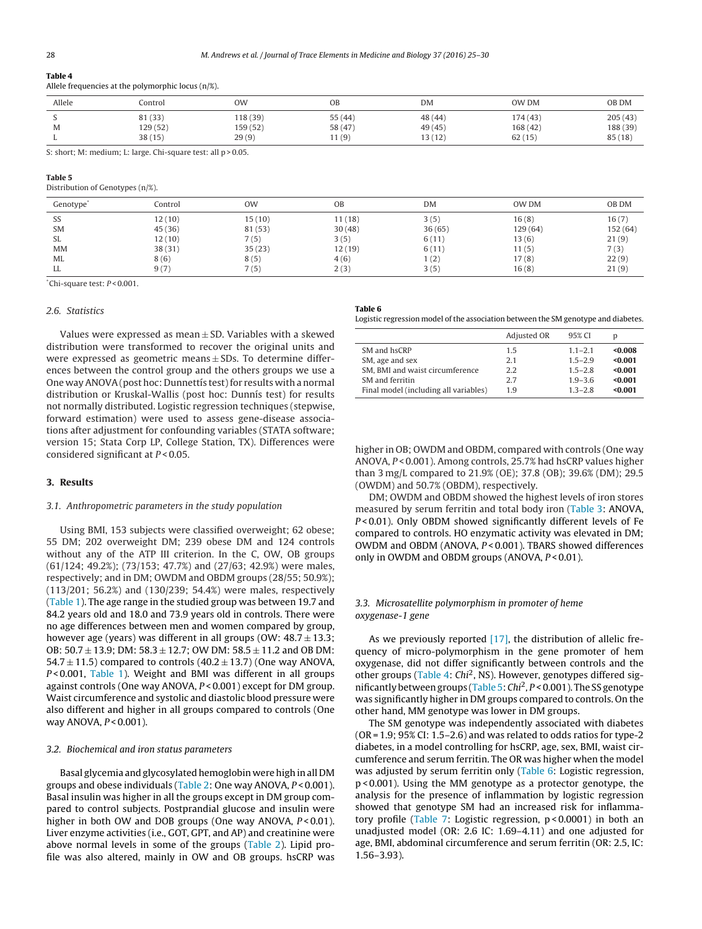# **Table 4**

Allele frequencies at the polymorphic locus (n/%).

| Allele | Control  | <b>OW</b> | OB      | <b>DM</b> | OW DM    | OB DM    |
|--------|----------|-----------|---------|-----------|----------|----------|
|        | 81 (33)  | 118 (39)  | 55(44)  | 48 (44)   | 174(43)  | 205(43)  |
| M      | 129 (52) | 159 (52)  | 58 (47) | 49(45)    | 168 (42) | 188 (39) |
|        | 38(15)   | 29(9)     | 11(9)   | 13(12)    | 62(15)   | 85(18)   |

S: short; M: medium; L: large. Chi-square test: all p > 0.05.

### **Table 5**

Distribution of Genotypes (n/%).

| Genotype <sup>®</sup> | Control | <b>OW</b> | <b>OB</b> | DM     | OW DM   | OB DM    |
|-----------------------|---------|-----------|-----------|--------|---------|----------|
| SS                    | 12(10)  | 15(10)    | 11(18)    | 3(5)   | 16(8)   | 16(7)    |
| <b>SM</b>             | 45(36)  | 81 (53)   | 30(48)    | 36(65) | 129(64) | 152 (64) |
| SL                    | 12(10)  | 7(5)      | 3(5)      | 6(11)  | 13(6)   | 21(9)    |
| <b>MM</b>             | 38(31)  | 35(23)    | 12(19)    | 6(11)  | 11(5)   | 7(3)     |
| <b>ML</b>             | 8(6)    | 8(5)      | 4(6)      | 1(2)   | 17(8)   | 22(9)    |
| LL                    | 9(7)    | 7(5)      | 2(3)      | 3(5)   | 16(8)   | 21(9)    |

\*Chi-square test: P < 0.001.

### 2.6. Statistics

Values were expressed as mean  $\pm$  SD. Variables with a skewed distribution were transformed to recover the original units and were expressed as geometric means  $\pm$  SDs. To determine differences between the control group and the others groups we use a One way ANOVA (post hoc: Dunnettis test) for results with a normal distribution or Kruskal-Wallis (post hoc: Dunnis test) for results not normally distributed. Logistic regression techniques (stepwise, forward estimation) were used to assess gene-disease associations after adjustment for confounding variables (STATA software; version 15; Stata Corp LP, College Station, TX). Differences were considered significant at  $P < 0.05$ .

## **3. Results**

### 3.1. Anthropometric parameters in the study population

Using BMI, 153 subjects were classified overweight; 62 obese; 55 DM; 202 overweight DM; 239 obese DM and 124 controls without any of the ATP III criterion. In the C, OW, OB groups (61/124; 49.2%); (73/153; 47.7%) and (27/63; 42.9%) were males, respectively; and in DM; OWDM and OBDM groups (28/55; 50.9%); (113/201; 56.2%) and (130/239; 54.4%) were males, respectively ([Table](#page-2-0) 1). The age range in the studied group was between 19.7 and 84.2 years old and 18.0 and 73.9 years old in controls. There were no age differences between men and women compared by group, however age (years) was different in all groups (OW:  $48.7 \pm 13.3$ ; OB:  $50.7 \pm 13.9$ ; DM:  $58.3 \pm 12.7$ ; OW DM:  $58.5 \pm 11.2$  and OB DM: 54.7  $\pm$  11.5) compared to controls (40.2  $\pm$  13.7) (One way ANOVA, P < 0.001, [Table](#page-2-0) 1). Weight and BMI was different in all groups against controls (One way ANOVA,  $P < 0.001$ ) except for DM group. Waist circumference and systolic and diastolic blood pressure were also different and higher in all groups compared to controls (One way ANOVA,  $P < 0.001$ ).

### 3.2. Biochemical and iron status parameters

Basal glycemia and glycosylated hemoglobin were high in all DM groups and obese individuals ([Table](#page-2-0) 2: One way ANOVA, P < 0.001). Basal insulin was higher in all the groups except in DM group compared to control subjects. Postprandial glucose and insulin were higher in both OW and DOB groups (One way ANOVA,  $P < 0.01$ ). Liver enzyme activities (i.e., GOT, GPT, and AP) and creatinine were above normal levels in some of the groups ([Table](#page-2-0) 2). Lipid profile was also altered, mainly in OW and OB groups. hsCRP was

**Table 6**

Logistic regression model of the association between the SM genotype and diabetes.

|                                       | Adjusted OR | 95% CI      |         |
|---------------------------------------|-------------|-------------|---------|
| SM and hsCRP                          | 15          | $1.1 - 2.1$ | $0.008$ |
| SM, age and sex                       | 2.1         | $1.5 - 2.9$ | < 0.001 |
| SM. BMI and waist circumference       | 2.2         | $1.5 - 2.8$ | < 0.001 |
| SM and ferritin                       | 2.7         | $1.9 - 3.6$ | < 0.001 |
| Final model (including all variables) | 1.9         | $1.3 - 2.8$ | < 0.001 |

higher in OB; OWDM and OBDM, compared with controls (One way ANOVA, P<0.001). Among controls, 25.7% had hsCRP values higher than 3 mg/L compared to 21.9% (OE); 37.8 (OB); 39.6% (DM); 29.5 (OWDM) and 50.7% (OBDM), respectively.

DM; OWDM and OBDM showed the highest levels of iron stores measured by serum ferritin and total body iron [\(Table](#page-2-0) 3: ANOVA, P<0.01). Only OBDM showed significantly different levels of Fe compared to controls. HO enzymatic activity was elevated in DM; OWDM and OBDM (ANOVA, P < 0.001). TBARS showed differences only in OWDM and OBDM groups (ANOVA,  $P < 0.01$ ).

### 3.3. Microsatellite polymorphism in promoter of heme oxygenase-1 gene

As we previously reported [\[17\],](#page-5-0) the distribution of allelic frequency of micro-polymorphism in the gene promoter of hem oxygenase, did not differ significantly between controls and the other groups (Table 4: Chi<sup>2</sup>, NS). However, genotypes differed significantly between groups (Table 5: Chi<sup>2</sup>,  $P < 0.001$ ). The SS genotype was significantly higher in DM groups compared to controls. On the other hand, MM genotype was lower in DM groups.

The SM genotype was independently associated with diabetes  $(OR = 1.9; 95\% CI: 1.5–2.6)$  and was related to odds ratios for type-2 diabetes, in a model controlling for hsCRP, age, sex, BMI, waist circumference and serum ferritin. The OR was higher when the model was adjusted by serum ferritin only (Table 6: Logistic regression, p < 0.001). Using the MM genotype as a protector genotype, the analysis for the presence of inflammation by logistic regression showed that genotype SM had an increased risk for inflammatory profile ([Table](#page-4-0) 7: Logistic regression, p < 0.0001) in both an unadjusted model (OR: 2.6 IC: 1.69–4.11) and one adjusted for age, BMI, abdominal circumference and serum ferritin (OR: 2.5, IC: 1.56–3.93).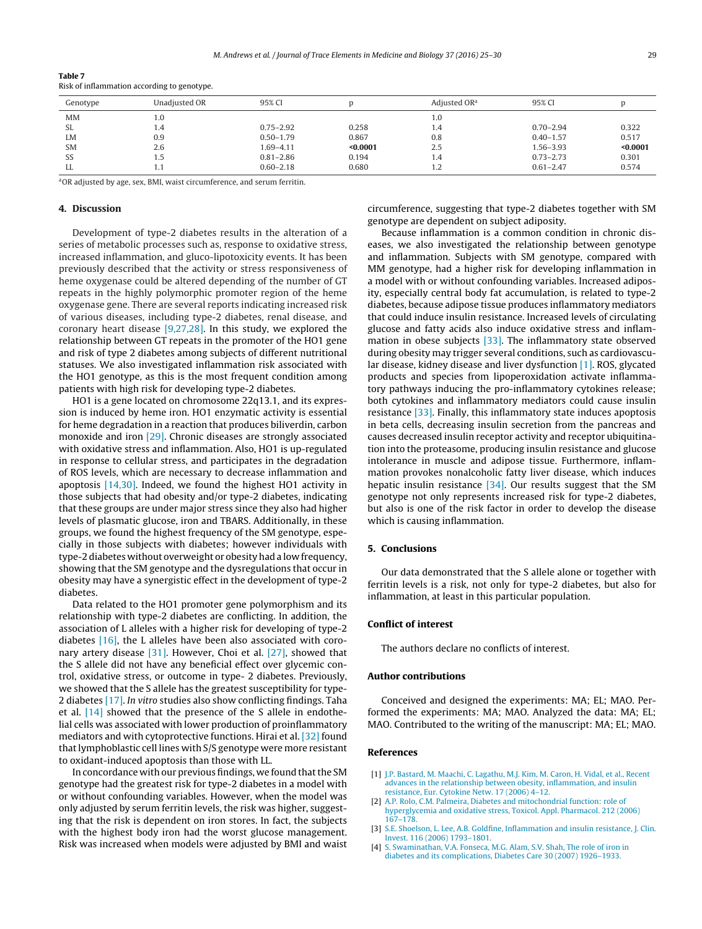| таше /   | Risk of inflammation according to genotype. |        |
|----------|---------------------------------------------|--------|
| Genotype | Unadjusted OR                               | 95% CI |

| Genotype  | Unadiusted OR | 95% CI        |          | Adiusted OR <sup>a</sup> | 95% CI        |          |
|-----------|---------------|---------------|----------|--------------------------|---------------|----------|
| <b>MM</b> | 1.0           |               |          | 1.0                      |               |          |
| SL        | 1.4           | $0.75 - 2.92$ | 0.258    | 1.4                      | $0.70 - 2.94$ | 0.322    |
| LM        | 0.9           | $0.50 - 1.79$ | 0.867    | 0.8                      | $0.40 - 1.57$ | 0.517    |
| <b>SM</b> | 2.6           | 1.69–4.11     | $0.0001$ | 2.5                      | 1.56-3.93     | < 0.0001 |
| SS        | 1.5           | $0.81 - 2.86$ | 0.194    | 1.4                      | $0.73 - 2.73$ | 0.301    |
| LL        | 1.1           | $0.60 - 2.18$ | 0.680    | 1.2                      | $0.61 - 2.47$ | 0.574    |

aOR adjusted by age, sex, BMI, waist circumference, and serum ferritin.

### **4. Discussion**

<span id="page-4-0"></span>**Table 7**

Development of type-2 diabetes results in the alteration of a series of metabolic processes such as, response to oxidative stress, increased inflammation, and gluco-lipotoxicity events. It has been previously described that the activity or stress responsiveness of heme oxygenase could be altered depending of the number of GT repeats in the highly polymorphic promoter region of the heme oxygenase gene. There are several reports indicating increased risk of various diseases, including type-2 diabetes, renal disease, and coronary heart disease [\[9,27,28\].](#page-5-0) In this study, we explored the relationship between GT repeats in the promoter of the HO1 gene and risk of type 2 diabetes among subjects of different nutritional statuses. We also investigated inflammation risk associated with the HO1 genotype, as this is the most frequent condition among patients with high risk for developing type-2 diabetes.

HO1 is a gene located on chromosome 22q13.1, and its expression is induced by heme iron. HO1 enzymatic activity is essential for heme degradation in a reaction that produces biliverdin, carbon monoxide and iron [\[29\].](#page-5-0) Chronic diseases are strongly associated with oxidative stress and inflammation. Also, HO1 is up-regulated in response to cellular stress, and participates in the degradation of ROS levels, which are necessary to decrease inflammation and apoptosis [\[14,30\].](#page-5-0) Indeed, we found the highest HO1 activity in those subjects that had obesity and/or type-2 diabetes, indicating that these groups are under major stress since they also had higher levels of plasmatic glucose, iron and TBARS. Additionally, in these groups, we found the highest frequency of the SM genotype, especially in those subjects with diabetes; however individuals with type-2 diabetes without overweight or obesity had a low frequency, showing that the SM genotype and the dysregulations that occur in obesity may have a synergistic effect in the development of type-2 diabetes.

Data related to the HO1 promoter gene polymorphism and its relationship with type-2 diabetes are conflicting. In addition, the association of L alleles with a higher risk for developing of type-2 diabetes [\[16\],](#page-5-0) the L alleles have been also associated with coronary artery disease [\[31\].](#page-5-0) However, Choi et al. [\[27\],](#page-5-0) showed that the S allele did not have any beneficial effect over glycemic control, oxidative stress, or outcome in type- 2 diabetes. Previously, we showed that the S allele has the greatest susceptibility for type-2 diabetes [\[17\].](#page-5-0) In vitro studies also show conflicting findings. Taha et al. [\[14\]](#page-5-0) showed that the presence of the S allele in endothelial cells was associated with lower production of proinflammatory mediators and with cytoprotective functions. Hirai et al. [\[32\]](#page-5-0) found that lymphoblastic cell lines with S/S genotype were more resistant to oxidant-induced apoptosis than those with LL.

In concordance with our previous findings, we found that the SM genotype had the greatest risk for type-2 diabetes in a model with or without confounding variables. However, when the model was only adjusted by serum ferritin levels, the risk was higher, suggesting that the risk is dependent on iron stores. In fact, the subjects with the highest body iron had the worst glucose management. Risk was increased when models were adjusted by BMI and waist circumference, suggesting that type-2 diabetes together with SM genotype are dependent on subject adiposity.

Because inflammation is a common condition in chronic diseases, we also investigated the relationship between genotype and inflammation. Subjects with SM genotype, compared with MM genotype, had a higher risk for developing inflammation in a model with or without confounding variables. Increased adiposity, especially central body fat accumulation, is related to type-2 diabetes, because adipose tissue produces inflammatory mediators that could induce insulin resistance. Increased levels of circulating glucose and fatty acids also induce oxidative stress and inflammation in obese subjects [\[33\].](#page-5-0) The inflammatory state observed during obesity may trigger several conditions, such as cardiovascular disease, kidney disease and liver dysfunction [1]. ROS, glycated products and species from lipoperoxidation activate inflammatory pathways inducing the pro-inflammatory cytokines release; both cytokines and inflammatory mediators could cause insulin resistance [\[33\].](#page-5-0) Finally, this inflammatory state induces apoptosis in beta cells, decreasing insulin secretion from the pancreas and causes decreased insulin receptor activity and receptor ubiquitination into the proteasome, producing insulin resistance and glucose intolerance in muscle and adipose tissue. Furthermore, inflammation provokes nonalcoholic fatty liver disease, which induces hepatic insulin resistance [\[34\].](#page-5-0) Our results suggest that the SM genotype not only represents increased risk for type-2 diabetes, but also is one of the risk factor in order to develop the disease which is causing inflammation.

### **5. Conclusions**

Our data demonstrated that the S allele alone or together with ferritin levels is a risk, not only for type-2 diabetes, but also for inflammation, at least in this particular population.

### **Conflict of interest**

The authors declare no conflicts of interest.

### **Author contributions**

Conceived and designed the experiments: MA; EL; MAO. Performed the experiments: MA; MAO. Analyzed the data: MA; EL; MAO. Contributed to the writing of the manuscript: MA; EL; MAO.

### **References**

- [1] [J.P.](http://refhub.elsevier.com/S0946-672X(16)30092-X/sbref0005) [Bastard,](http://refhub.elsevier.com/S0946-672X(16)30092-X/sbref0005) [M.](http://refhub.elsevier.com/S0946-672X(16)30092-X/sbref0005) [Maachi,](http://refhub.elsevier.com/S0946-672X(16)30092-X/sbref0005) [C.](http://refhub.elsevier.com/S0946-672X(16)30092-X/sbref0005) [Lagathu,](http://refhub.elsevier.com/S0946-672X(16)30092-X/sbref0005) [M.J.](http://refhub.elsevier.com/S0946-672X(16)30092-X/sbref0005) [Kim,](http://refhub.elsevier.com/S0946-672X(16)30092-X/sbref0005) M. [Caron,](http://refhub.elsevier.com/S0946-672X(16)30092-X/sbref0005) [H.](http://refhub.elsevier.com/S0946-672X(16)30092-X/sbref0005) [Vidal,](http://refhub.elsevier.com/S0946-672X(16)30092-X/sbref0005) [et](http://refhub.elsevier.com/S0946-672X(16)30092-X/sbref0005) [al.,](http://refhub.elsevier.com/S0946-672X(16)30092-X/sbref0005) [Recent](http://refhub.elsevier.com/S0946-672X(16)30092-X/sbref0005) [advances](http://refhub.elsevier.com/S0946-672X(16)30092-X/sbref0005) [in](http://refhub.elsevier.com/S0946-672X(16)30092-X/sbref0005) [the](http://refhub.elsevier.com/S0946-672X(16)30092-X/sbref0005) [relationship](http://refhub.elsevier.com/S0946-672X(16)30092-X/sbref0005) [between](http://refhub.elsevier.com/S0946-672X(16)30092-X/sbref0005) [obesity,](http://refhub.elsevier.com/S0946-672X(16)30092-X/sbref0005) [inflammation,](http://refhub.elsevier.com/S0946-672X(16)30092-X/sbref0005) [and](http://refhub.elsevier.com/S0946-672X(16)30092-X/sbref0005) [insulin](http://refhub.elsevier.com/S0946-672X(16)30092-X/sbref0005) [resistance,](http://refhub.elsevier.com/S0946-672X(16)30092-X/sbref0005) [Eur.](http://refhub.elsevier.com/S0946-672X(16)30092-X/sbref0005) [Cytokine](http://refhub.elsevier.com/S0946-672X(16)30092-X/sbref0005) [Netw.](http://refhub.elsevier.com/S0946-672X(16)30092-X/sbref0005) [17](http://refhub.elsevier.com/S0946-672X(16)30092-X/sbref0005) [\(2006\)](http://refhub.elsevier.com/S0946-672X(16)30092-X/sbref0005) [4](http://refhub.elsevier.com/S0946-672X(16)30092-X/sbref0005)–[12.](http://refhub.elsevier.com/S0946-672X(16)30092-X/sbref0005)
- [2] [A.P.](http://refhub.elsevier.com/S0946-672X(16)30092-X/sbref0010) [Rolo,](http://refhub.elsevier.com/S0946-672X(16)30092-X/sbref0010) [C.M.](http://refhub.elsevier.com/S0946-672X(16)30092-X/sbref0010) [Palmeira,](http://refhub.elsevier.com/S0946-672X(16)30092-X/sbref0010) [Diabetes](http://refhub.elsevier.com/S0946-672X(16)30092-X/sbref0010) [and](http://refhub.elsevier.com/S0946-672X(16)30092-X/sbref0010) [mitochondrial](http://refhub.elsevier.com/S0946-672X(16)30092-X/sbref0010) [function:](http://refhub.elsevier.com/S0946-672X(16)30092-X/sbref0010) [role](http://refhub.elsevier.com/S0946-672X(16)30092-X/sbref0010) [of](http://refhub.elsevier.com/S0946-672X(16)30092-X/sbref0010) [hyperglycemia](http://refhub.elsevier.com/S0946-672X(16)30092-X/sbref0010) [and](http://refhub.elsevier.com/S0946-672X(16)30092-X/sbref0010) [oxidative](http://refhub.elsevier.com/S0946-672X(16)30092-X/sbref0010) [stress,](http://refhub.elsevier.com/S0946-672X(16)30092-X/sbref0010) [Toxicol.](http://refhub.elsevier.com/S0946-672X(16)30092-X/sbref0010) [Appl.](http://refhub.elsevier.com/S0946-672X(16)30092-X/sbref0010) [Pharmacol.](http://refhub.elsevier.com/S0946-672X(16)30092-X/sbref0010) [212](http://refhub.elsevier.com/S0946-672X(16)30092-X/sbref0010) [\(2006\)](http://refhub.elsevier.com/S0946-672X(16)30092-X/sbref0010) [167–178.](http://refhub.elsevier.com/S0946-672X(16)30092-X/sbref0010)
- [3] [S.E.](http://refhub.elsevier.com/S0946-672X(16)30092-X/sbref0015) [Shoelson,](http://refhub.elsevier.com/S0946-672X(16)30092-X/sbref0015) [L.](http://refhub.elsevier.com/S0946-672X(16)30092-X/sbref0015) [Lee,](http://refhub.elsevier.com/S0946-672X(16)30092-X/sbref0015) [A.B.](http://refhub.elsevier.com/S0946-672X(16)30092-X/sbref0015) [Goldfine,](http://refhub.elsevier.com/S0946-672X(16)30092-X/sbref0015) [Inflammation](http://refhub.elsevier.com/S0946-672X(16)30092-X/sbref0015) [and](http://refhub.elsevier.com/S0946-672X(16)30092-X/sbref0015) [insulin](http://refhub.elsevier.com/S0946-672X(16)30092-X/sbref0015) [resistance,](http://refhub.elsevier.com/S0946-672X(16)30092-X/sbref0015) [J.](http://refhub.elsevier.com/S0946-672X(16)30092-X/sbref0015) [Clin.](http://refhub.elsevier.com/S0946-672X(16)30092-X/sbref0015) [Invest.](http://refhub.elsevier.com/S0946-672X(16)30092-X/sbref0015) [116](http://refhub.elsevier.com/S0946-672X(16)30092-X/sbref0015) [\(2006\)](http://refhub.elsevier.com/S0946-672X(16)30092-X/sbref0015) [1793–1801.](http://refhub.elsevier.com/S0946-672X(16)30092-X/sbref0015)
- [4] [S.](http://refhub.elsevier.com/S0946-672X(16)30092-X/sbref0020) [Swaminathan,](http://refhub.elsevier.com/S0946-672X(16)30092-X/sbref0020) [V.A.](http://refhub.elsevier.com/S0946-672X(16)30092-X/sbref0020) [Fonseca,](http://refhub.elsevier.com/S0946-672X(16)30092-X/sbref0020) [M.G.](http://refhub.elsevier.com/S0946-672X(16)30092-X/sbref0020) [Alam,](http://refhub.elsevier.com/S0946-672X(16)30092-X/sbref0020) [S.V.](http://refhub.elsevier.com/S0946-672X(16)30092-X/sbref0020) [Shah,](http://refhub.elsevier.com/S0946-672X(16)30092-X/sbref0020) [The](http://refhub.elsevier.com/S0946-672X(16)30092-X/sbref0020) [role](http://refhub.elsevier.com/S0946-672X(16)30092-X/sbref0020) [of](http://refhub.elsevier.com/S0946-672X(16)30092-X/sbref0020) [iron](http://refhub.elsevier.com/S0946-672X(16)30092-X/sbref0020) [in](http://refhub.elsevier.com/S0946-672X(16)30092-X/sbref0020) [diabetes](http://refhub.elsevier.com/S0946-672X(16)30092-X/sbref0020) [and](http://refhub.elsevier.com/S0946-672X(16)30092-X/sbref0020) [its](http://refhub.elsevier.com/S0946-672X(16)30092-X/sbref0020) [complications,](http://refhub.elsevier.com/S0946-672X(16)30092-X/sbref0020) [Diabetes](http://refhub.elsevier.com/S0946-672X(16)30092-X/sbref0020) [Care](http://refhub.elsevier.com/S0946-672X(16)30092-X/sbref0020) [30](http://refhub.elsevier.com/S0946-672X(16)30092-X/sbref0020) [\(2007\)](http://refhub.elsevier.com/S0946-672X(16)30092-X/sbref0020) [1926–1933.](http://refhub.elsevier.com/S0946-672X(16)30092-X/sbref0020)